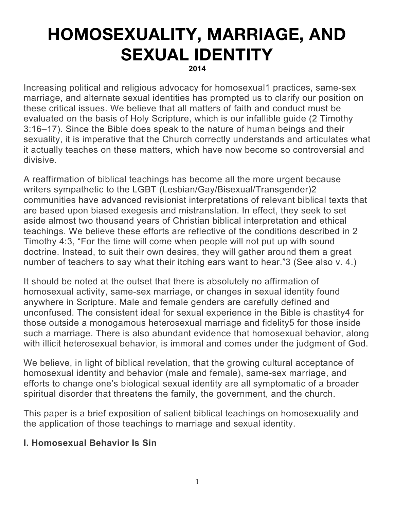# **HOMOSEXUALITY, MARRIAGE, AND SEXUAL IDENTITY 2014**

Increasing political and religious advocacy for homosexual1 practices, same-sex marriage, and alternate sexual identities has prompted us to clarify our position on these critical issues. We believe that all matters of faith and conduct must be evaluated on the basis of Holy Scripture, which is our infallible guide (2 Timothy 3:16–17). Since the Bible does speak to the nature of human beings and their sexuality, it is imperative that the Church correctly understands and articulates what it actually teaches on these matters, which have now become so controversial and divisive.

A reaffirmation of biblical teachings has become all the more urgent because writers sympathetic to the LGBT (Lesbian/Gay/Bisexual/Transgender)2 communities have advanced revisionist interpretations of relevant biblical texts that are based upon biased exegesis and mistranslation. In effect, they seek to set aside almost two thousand years of Christian biblical interpretation and ethical teachings. We believe these efforts are reflective of the conditions described in 2 Timothy 4:3, "For the time will come when people will not put up with sound doctrine. Instead, to suit their own desires, they will gather around them a great number of teachers to say what their itching ears want to hear."3 (See also v. 4.)

It should be noted at the outset that there is absolutely no affirmation of homosexual activity, same-sex marriage, or changes in sexual identity found anywhere in Scripture. Male and female genders are carefully defined and unconfused. The consistent ideal for sexual experience in the Bible is chastity4 for those outside a monogamous heterosexual marriage and fidelity5 for those inside such a marriage. There is also abundant evidence that homosexual behavior, along with illicit heterosexual behavior, is immoral and comes under the judgment of God.

We believe, in light of biblical revelation, that the growing cultural acceptance of homosexual identity and behavior (male and female), same-sex marriage, and efforts to change one's biological sexual identity are all symptomatic of a broader spiritual disorder that threatens the family, the government, and the church.

This paper is a brief exposition of salient biblical teachings on homosexuality and the application of those teachings to marriage and sexual identity.

## **I. Homosexual Behavior Is Sin**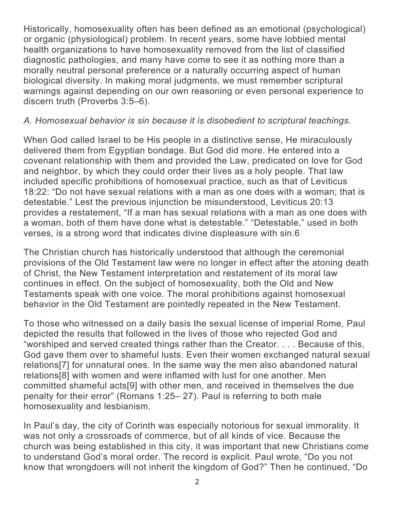Historically, homosexuality often has been defined as an emotional (psychological) or organic (physiological) problem. In recent years, some have lobbied mental health organizations to have homosexuality removed from the list of classified diagnostic pathologies, and many have come to see it as nothing more than a morally neutral personal preference or a naturally occurring aspect of human biological diversity. In making moral judgments, we must remember scriptural warnings against depending on our own reasoning or even personal experience to discern truth (Proverbs 3:5–6).

### *A. Homosexual behavior is sin because it is disobedient to scriptural teachings.*

When God called Israel to be His people in a distinctive sense, He miraculously delivered them from Egyptian bondage. But God did more. He entered into a covenant relationship with them and provided the Law, predicated on love for God and neighbor, by which they could order their lives as a holy people. That law included specific prohibitions of homosexual practice, such as that of Leviticus 18:22: "Do not have sexual relations with a man as one does with a woman; that is detestable." Lest the previous injunction be misunderstood, Leviticus 20:13 provides a restatement, "If a man has sexual relations with a man as one does with a woman, both of them have done what is detestable." "Detestable," used in both verses, is a strong word that indicates divine displeasure with sin.6

The Christian church has historically understood that although the ceremonial provisions of the Old Testament law were no longer in effect after the atoning death of Christ, the New Testament interpretation and restatement of its moral law continues in effect. On the subject of homosexuality, both the Old and New Testaments speak with one voice. The moral prohibitions against homosexual behavior in the Old Testament are pointedly repeated in the New Testament.

To those who witnessed on a daily basis the sexual license of imperial Rome, Paul depicted the results that followed in the lives of those who rejected God and "worshiped and served created things rather than the Creator. . . . Because of this, God gave them over to shameful lusts. Even their women exchanged natural sexual relations[7] for unnatural ones. In the same way the men also abandoned natural relations[8] with women and were inflamed with lust for one another. Men committed shameful acts[9] with other men, and received in themselves the due penalty for their error" (Romans 1:25– 27). Paul is referring to both male homosexuality and lesbianism.

In Paul's day, the city of Corinth was especially notorious for sexual immorality. It was not only a crossroads of commerce, but of all kinds of vice. Because the church was being established in this city, it was important that new Christians come to understand God's moral order. The record is explicit. Paul wrote, "Do you not know that wrongdoers will not inherit the kingdom of God?" Then he continued, "Do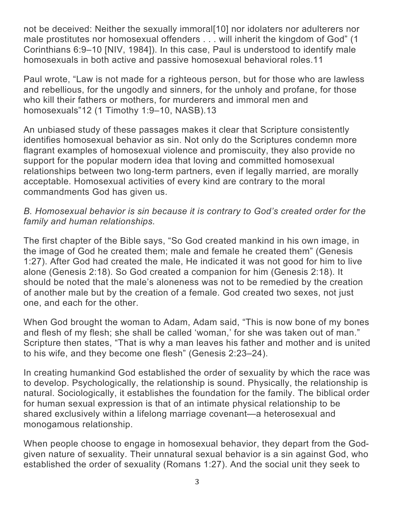not be deceived: Neither the sexually immoral[10] nor idolaters nor adulterers nor male prostitutes nor homosexual offenders . . . will inherit the kingdom of God" (1) Corinthians 6:9–10 [NIV, 1984]). In this case, Paul is understood to identify male homosexuals in both active and passive homosexual behavioral roles.11

Paul wrote, "Law is not made for a righteous person, but for those who are lawless and rebellious, for the ungodly and sinners, for the unholy and profane, for those who kill their fathers or mothers, for murderers and immoral men and homosexuals"12 (1 Timothy 1:9–10, NASB).13

An unbiased study of these passages makes it clear that Scripture consistently identifies homosexual behavior as sin. Not only do the Scriptures condemn more flagrant examples of homosexual violence and promiscuity, they also provide no support for the popular modern idea that loving and committed homosexual relationships between two long-term partners, even if legally married, are morally acceptable. Homosexual activities of every kind are contrary to the moral commandments God has given us.

#### *B. Homosexual behavior is sin because it is contrary to God's created order for the family and human relationships.*

The first chapter of the Bible says, "So God created mankind in his own image, in the image of God he created them; male and female he created them" (Genesis 1:27). After God had created the male, He indicated it was not good for him to live alone (Genesis 2:18). So God created a companion for him (Genesis 2:18). It should be noted that the male's aloneness was not to be remedied by the creation of another male but by the creation of a female. God created two sexes, not just one, and each for the other.

When God brought the woman to Adam, Adam said, "This is now bone of my bones and flesh of my flesh; she shall be called 'woman,' for she was taken out of man." Scripture then states, "That is why a man leaves his father and mother and is united to his wife, and they become one flesh" (Genesis 2:23–24).

In creating humankind God established the order of sexuality by which the race was to develop. Psychologically, the relationship is sound. Physically, the relationship is natural. Sociologically, it establishes the foundation for the family. The biblical order for human sexual expression is that of an intimate physical relationship to be shared exclusively within a lifelong marriage covenant—a heterosexual and monogamous relationship.

When people choose to engage in homosexual behavior, they depart from the Godgiven nature of sexuality. Their unnatural sexual behavior is a sin against God, who established the order of sexuality (Romans 1:27). And the social unit they seek to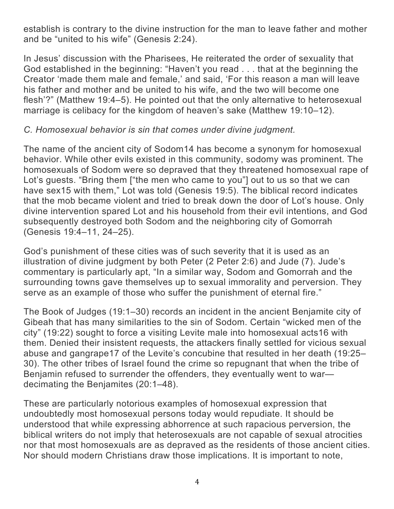establish is contrary to the divine instruction for the man to leave father and mother and be "united to his wife" (Genesis 2:24).

In Jesus' discussion with the Pharisees, He reiterated the order of sexuality that God established in the beginning: "Haven't you read . . . that at the beginning the Creator 'made them male and female,' and said, 'For this reason a man will leave his father and mother and be united to his wife, and the two will become one flesh'?" (Matthew 19:4–5). He pointed out that the only alternative to heterosexual marriage is celibacy for the kingdom of heaven's sake (Matthew 19:10–12).

#### *C. Homosexual behavior is sin that comes under divine judgment.*

The name of the ancient city of Sodom14 has become a synonym for homosexual behavior. While other evils existed in this community, sodomy was prominent. The homosexuals of Sodom were so depraved that they threatened homosexual rape of Lot's guests. "Bring them ["the men who came to you"] out to us so that we can have sex15 with them," Lot was told (Genesis 19:5). The biblical record indicates that the mob became violent and tried to break down the door of Lot's house. Only divine intervention spared Lot and his household from their evil intentions, and God subsequently destroyed both Sodom and the neighboring city of Gomorrah (Genesis 19:4–11, 24–25).

God's punishment of these cities was of such severity that it is used as an illustration of divine judgment by both Peter (2 Peter 2:6) and Jude (7). Jude's commentary is particularly apt, "In a similar way, Sodom and Gomorrah and the surrounding towns gave themselves up to sexual immorality and perversion. They serve as an example of those who suffer the punishment of eternal fire."

The Book of Judges (19:1–30) records an incident in the ancient Benjamite city of Gibeah that has many similarities to the sin of Sodom. Certain "wicked men of the city" (19:22) sought to force a visiting Levite male into homosexual acts16 with them. Denied their insistent requests, the attackers finally settled for vicious sexual abuse and gangrape17 of the Levite's concubine that resulted in her death (19:25– 30). The other tribes of Israel found the crime so repugnant that when the tribe of Benjamin refused to surrender the offenders, they eventually went to war decimating the Benjamites (20:1–48).

These are particularly notorious examples of homosexual expression that undoubtedly most homosexual persons today would repudiate. It should be understood that while expressing abhorrence at such rapacious perversion, the biblical writers do not imply that heterosexuals are not capable of sexual atrocities nor that most homosexuals are as depraved as the residents of those ancient cities. Nor should modern Christians draw those implications. It is important to note,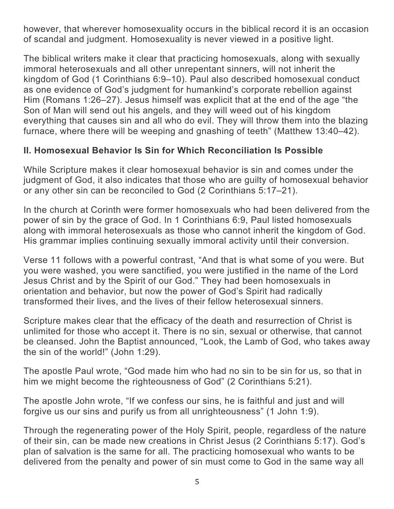however, that wherever homosexuality occurs in the biblical record it is an occasion of scandal and judgment. Homosexuality is never viewed in a positive light.

The biblical writers make it clear that practicing homosexuals, along with sexually immoral heterosexuals and all other unrepentant sinners, will not inherit the kingdom of God (1 Corinthians 6:9–10). Paul also described homosexual conduct as one evidence of God's judgment for humankind's corporate rebellion against Him (Romans 1:26–27). Jesus himself was explicit that at the end of the age "the Son of Man will send out his angels, and they will weed out of his kingdom everything that causes sin and all who do evil. They will throw them into the blazing furnace, where there will be weeping and gnashing of teeth" (Matthew 13:40–42).

## **II. Homosexual Behavior Is Sin for Which Reconciliation Is Possible**

While Scripture makes it clear homosexual behavior is sin and comes under the judgment of God, it also indicates that those who are guilty of homosexual behavior or any other sin can be reconciled to God (2 Corinthians 5:17–21).

In the church at Corinth were former homosexuals who had been delivered from the power of sin by the grace of God. In 1 Corinthians 6:9, Paul listed homosexuals along with immoral heterosexuals as those who cannot inherit the kingdom of God. His grammar implies continuing sexually immoral activity until their conversion.

Verse 11 follows with a powerful contrast, "And that is what some of you were. But you were washed, you were sanctified, you were justified in the name of the Lord Jesus Christ and by the Spirit of our God." They had been homosexuals in orientation and behavior, but now the power of God's Spirit had radically transformed their lives, and the lives of their fellow heterosexual sinners.

Scripture makes clear that the efficacy of the death and resurrection of Christ is unlimited for those who accept it. There is no sin, sexual or otherwise, that cannot be cleansed. John the Baptist announced, "Look, the Lamb of God, who takes away the sin of the world!" (John 1:29).

The apostle Paul wrote, "God made him who had no sin to be sin for us, so that in him we might become the righteousness of God" (2 Corinthians 5:21).

The apostle John wrote, "If we confess our sins, he is faithful and just and will forgive us our sins and purify us from all unrighteousness" (1 John 1:9).

Through the regenerating power of the Holy Spirit, people, regardless of the nature of their sin, can be made new creations in Christ Jesus (2 Corinthians 5:17). God's plan of salvation is the same for all. The practicing homosexual who wants to be delivered from the penalty and power of sin must come to God in the same way all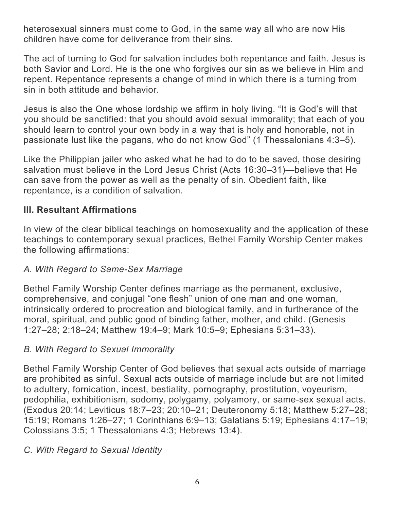heterosexual sinners must come to God, in the same way all who are now His children have come for deliverance from their sins.

The act of turning to God for salvation includes both repentance and faith. Jesus is both Savior and Lord. He is the one who forgives our sin as we believe in Him and repent. Repentance represents a change of mind in which there is a turning from sin in both attitude and behavior.

Jesus is also the One whose lordship we affirm in holy living. "It is God's will that you should be sanctified: that you should avoid sexual immorality; that each of you should learn to control your own body in a way that is holy and honorable, not in passionate lust like the pagans, who do not know God" (1 Thessalonians 4:3–5).

Like the Philippian jailer who asked what he had to do to be saved, those desiring salvation must believe in the Lord Jesus Christ (Acts 16:30–31)—believe that He can save from the power as well as the penalty of sin. Obedient faith, like repentance, is a condition of salvation.

## **III. Resultant Affirmations**

In view of the clear biblical teachings on homosexuality and the application of these teachings to contemporary sexual practices, Bethel Family Worship Center makes the following affirmations:

#### *A. With Regard to Same-Sex Marriage*

Bethel Family Worship Center defines marriage as the permanent, exclusive, comprehensive, and conjugal "one flesh" union of one man and one woman, intrinsically ordered to procreation and biological family, and in furtherance of the moral, spiritual, and public good of binding father, mother, and child. (Genesis 1:27–28; 2:18–24; Matthew 19:4–9; Mark 10:5–9; Ephesians 5:31–33).

#### *B. With Regard to Sexual Immorality*

Bethel Family Worship Center of God believes that sexual acts outside of marriage are prohibited as sinful. Sexual acts outside of marriage include but are not limited to adultery, fornication, incest, bestiality, pornography, prostitution, voyeurism, pedophilia, exhibitionism, sodomy, polygamy, polyamory, or same-sex sexual acts. (Exodus 20:14; Leviticus 18:7–23; 20:10–21; Deuteronomy 5:18; Matthew 5:27–28; 15:19; Romans 1:26–27; 1 Corinthians 6:9–13; Galatians 5:19; Ephesians 4:17–19; Colossians 3:5; 1 Thessalonians 4:3; Hebrews 13:4).

#### *C. With Regard to Sexual Identity*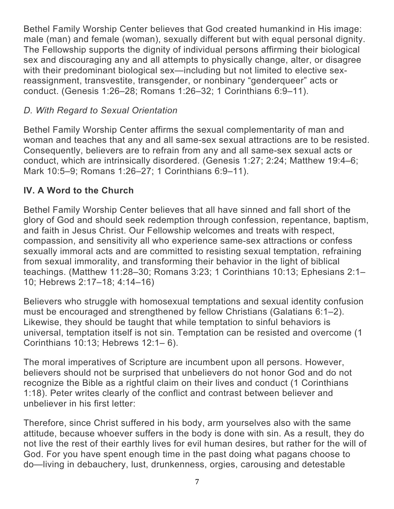Bethel Family Worship Center believes that God created humankind in His image: male (man) and female (woman), sexually different but with equal personal dignity. The Fellowship supports the dignity of individual persons affirming their biological sex and discouraging any and all attempts to physically change, alter, or disagree with their predominant biological sex—including but not limited to elective sexreassignment, transvestite, transgender, or nonbinary "genderqueer" acts or conduct. (Genesis 1:26–28; Romans 1:26–32; 1 Corinthians 6:9–11).

## *D. With Regard to Sexual Orientation*

Bethel Family Worship Center affirms the sexual complementarity of man and woman and teaches that any and all same-sex sexual attractions are to be resisted. Consequently, believers are to refrain from any and all same-sex sexual acts or conduct, which are intrinsically disordered. (Genesis 1:27; 2:24; Matthew 19:4–6; Mark 10:5–9; Romans 1:26–27; 1 Corinthians 6:9–11).

## **IV. A Word to the Church**

Bethel Family Worship Center believes that all have sinned and fall short of the glory of God and should seek redemption through confession, repentance, baptism, and faith in Jesus Christ. Our Fellowship welcomes and treats with respect, compassion, and sensitivity all who experience same-sex attractions or confess sexually immoral acts and are committed to resisting sexual temptation, refraining from sexual immorality, and transforming their behavior in the light of biblical teachings. (Matthew 11:28–30; Romans 3:23; 1 Corinthians 10:13; Ephesians 2:1– 10; Hebrews 2:17–18; 4:14–16)

Believers who struggle with homosexual temptations and sexual identity confusion must be encouraged and strengthened by fellow Christians (Galatians 6:1–2). Likewise, they should be taught that while temptation to sinful behaviors is universal, temptation itself is not sin. Temptation can be resisted and overcome (1 Corinthians 10:13; Hebrews 12:1– 6).

The moral imperatives of Scripture are incumbent upon all persons. However, believers should not be surprised that unbelievers do not honor God and do not recognize the Bible as a rightful claim on their lives and conduct (1 Corinthians 1:18). Peter writes clearly of the conflict and contrast between believer and unbeliever in his first letter:

Therefore, since Christ suffered in his body, arm yourselves also with the same attitude, because whoever suffers in the body is done with sin. As a result, they do not live the rest of their earthly lives for evil human desires, but rather for the will of God. For you have spent enough time in the past doing what pagans choose to do—living in debauchery, lust, drunkenness, orgies, carousing and detestable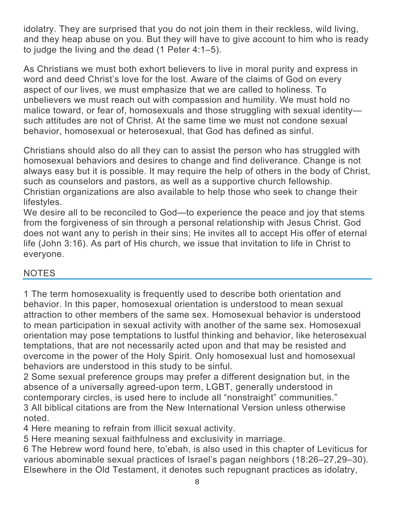idolatry. They are surprised that you do not join them in their reckless, wild living, and they heap abuse on you. But they will have to give account to him who is ready to judge the living and the dead (1 Peter 4:1–5).

As Christians we must both exhort believers to live in moral purity and express in word and deed Christ's love for the lost. Aware of the claims of God on every aspect of our lives, we must emphasize that we are called to holiness. To unbelievers we must reach out with compassion and humility. We must hold no malice toward, or fear of, homosexuals and those struggling with sexual identity such attitudes are not of Christ. At the same time we must not condone sexual behavior, homosexual or heterosexual, that God has defined as sinful.

Christians should also do all they can to assist the person who has struggled with homosexual behaviors and desires to change and find deliverance. Change is not always easy but it is possible. It may require the help of others in the body of Christ, such as counselors and pastors, as well as a supportive church fellowship. Christian organizations are also available to help those who seek to change their lifestyles.

We desire all to be reconciled to God—to experience the peace and joy that stems from the forgiveness of sin through a personal relationship with Jesus Christ. God does not want any to perish in their sins; He invites all to accept His offer of eternal life (John 3:16). As part of His church, we issue that invitation to life in Christ to everyone.

## **NOTES**

1 The term homosexuality is frequently used to describe both orientation and behavior. In this paper, homosexual orientation is understood to mean sexual attraction to other members of the same sex. Homosexual behavior is understood to mean participation in sexual activity with another of the same sex. Homosexual orientation may pose temptations to lustful thinking and behavior, like heterosexual temptations, that are not necessarily acted upon and that may be resisted and overcome in the power of the Holy Spirit. Only homosexual lust and homosexual behaviors are understood in this study to be sinful.

2 Some sexual preference groups may prefer a different designation but, in the absence of a universally agreed-upon term, LGBT, generally understood in contemporary circles, is used here to include all "nonstraight" communities." 3 All biblical citations are from the New International Version unless otherwise noted.

4 Here meaning to refrain from illicit sexual activity.

5 Here meaning sexual faithfulness and exclusivity in marriage.

6 The Hebrew word found here, to'ebah, is also used in this chapter of Leviticus for various abominable sexual practices of Israel's pagan neighbors (18:26–27,29–30). Elsewhere in the Old Testament, it denotes such repugnant practices as idolatry,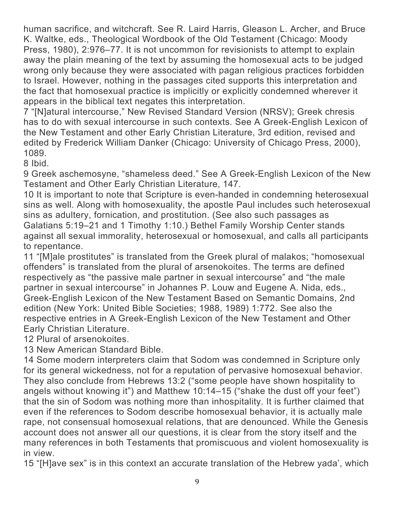human sacrifice, and witchcraft. See R. Laird Harris, Gleason L. Archer, and Bruce K. Waltke, eds., Theological Wordbook of the Old Testament (Chicago: Moody Press, 1980), 2:976–77. It is not uncommon for revisionists to attempt to explain away the plain meaning of the text by assuming the homosexual acts to be judged wrong only because they were associated with pagan religious practices forbidden to Israel. However, nothing in the passages cited supports this interpretation and the fact that homosexual practice is implicitly or explicitly condemned wherever it appears in the biblical text negates this interpretation.

7 "[N]atural intercourse," New Revised Standard Version (NRSV); Greek chresis has to do with sexual intercourse in such contexts. See A Greek-English Lexicon of the New Testament and other Early Christian Literature, 3rd edition, revised and edited by Frederick William Danker (Chicago: University of Chicago Press, 2000), 1089.

8 Ibid.

9 Greek aschemosyne, "shameless deed." See A Greek-English Lexicon of the New Testament and Other Early Christian Literature, 147.

10 It is important to note that Scripture is even-handed in condemning heterosexual sins as well. Along with homosexuality, the apostle Paul includes such heterosexual sins as adultery, fornication, and prostitution. (See also such passages as Galatians 5:19–21 and 1 Timothy 1:10.) Bethel Family Worship Center stands against all sexual immorality, heterosexual or homosexual, and calls all participants to repentance.

11 "[M]ale prostitutes" is translated from the Greek plural of malakos; "homosexual offenders" is translated from the plural of arsenokoites. The terms are defined respectively as "the passive male partner in sexual intercourse" and "the male partner in sexual intercourse" in Johannes P. Louw and Eugene A. Nida, eds., Greek-English Lexicon of the New Testament Based on Semantic Domains, 2nd edition (New York: United Bible Societies; 1988, 1989) 1:772. See also the respective entries in A Greek-English Lexicon of the New Testament and Other Early Christian Literature.

12 Plural of arsenokoites.

13 New American Standard Bible.

14 Some modern interpreters claim that Sodom was condemned in Scripture only for its general wickedness, not for a reputation of pervasive homosexual behavior. They also conclude from Hebrews 13:2 ("some people have shown hospitality to angels without knowing it") and Matthew 10:14–15 ("shake the dust off your feet") that the sin of Sodom was nothing more than inhospitality. It is further claimed that even if the references to Sodom describe homosexual behavior, it is actually male rape, not consensual homosexual relations, that are denounced. While the Genesis account does not answer all our questions, it is clear from the story itself and the many references in both Testaments that promiscuous and violent homosexuality is in view.

15 "[H]ave sex" is in this context an accurate translation of the Hebrew yada', which